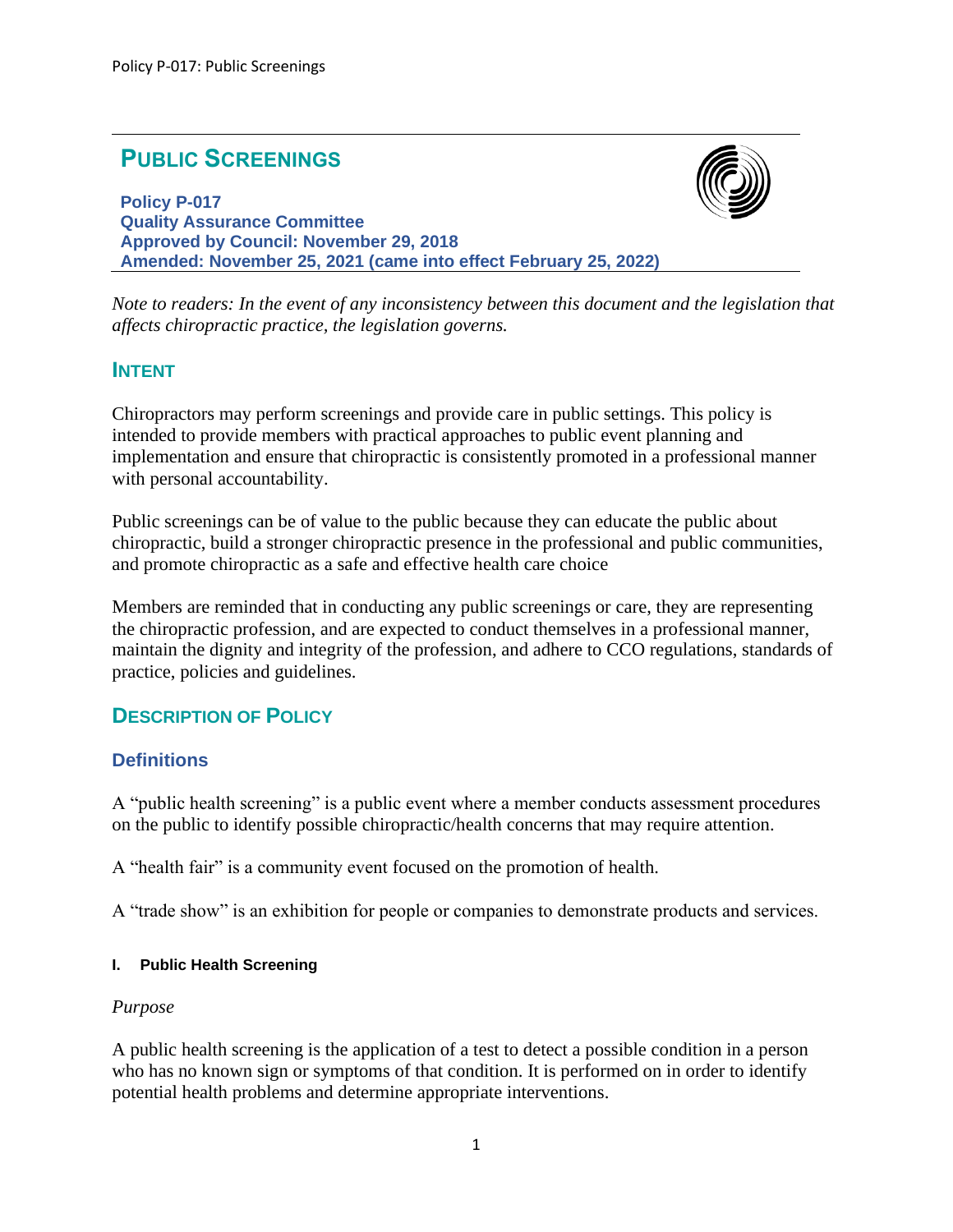# **PUBLIC SCREENINGS**

**Policy P-017 Quality Assurance Committee Approved by Council: November 29, 2018 Amended: November 25, 2021 (came into effect February 25, 2022)**



*Note to readers: In the event of any inconsistency between this document and the legislation that affects chiropractic practice, the legislation governs.*

# **INTENT**

Chiropractors may perform screenings and provide care in public settings. This policy is intended to provide members with practical approaches to public event planning and implementation and ensure that chiropractic is consistently promoted in a professional manner with personal accountability.

Public screenings can be of value to the public because they can educate the public about chiropractic, build a stronger chiropractic presence in the professional and public communities, and promote chiropractic as a safe and effective health care choice

Members are reminded that in conducting any public screenings or care, they are representing the chiropractic profession, and are expected to conduct themselves in a professional manner, maintain the dignity and integrity of the profession, and adhere to CCO regulations, standards of practice, policies and guidelines.

# **DESCRIPTION OF POLICY**

# **Definitions**

A "public health screening" is a public event where a member conducts assessment procedures on the public to identify possible chiropractic/health concerns that may require attention.

A "health fair" is a community event focused on the promotion of health.

A "trade show" is an exhibition for people or companies to demonstrate products and services.

#### **I. Public Health Screening**

#### *Purpose*

A public health screening is the application of a test to detect a possible condition in a person who has no known sign or symptoms of that condition. It is performed on in order to identify potential health problems and determine appropriate interventions.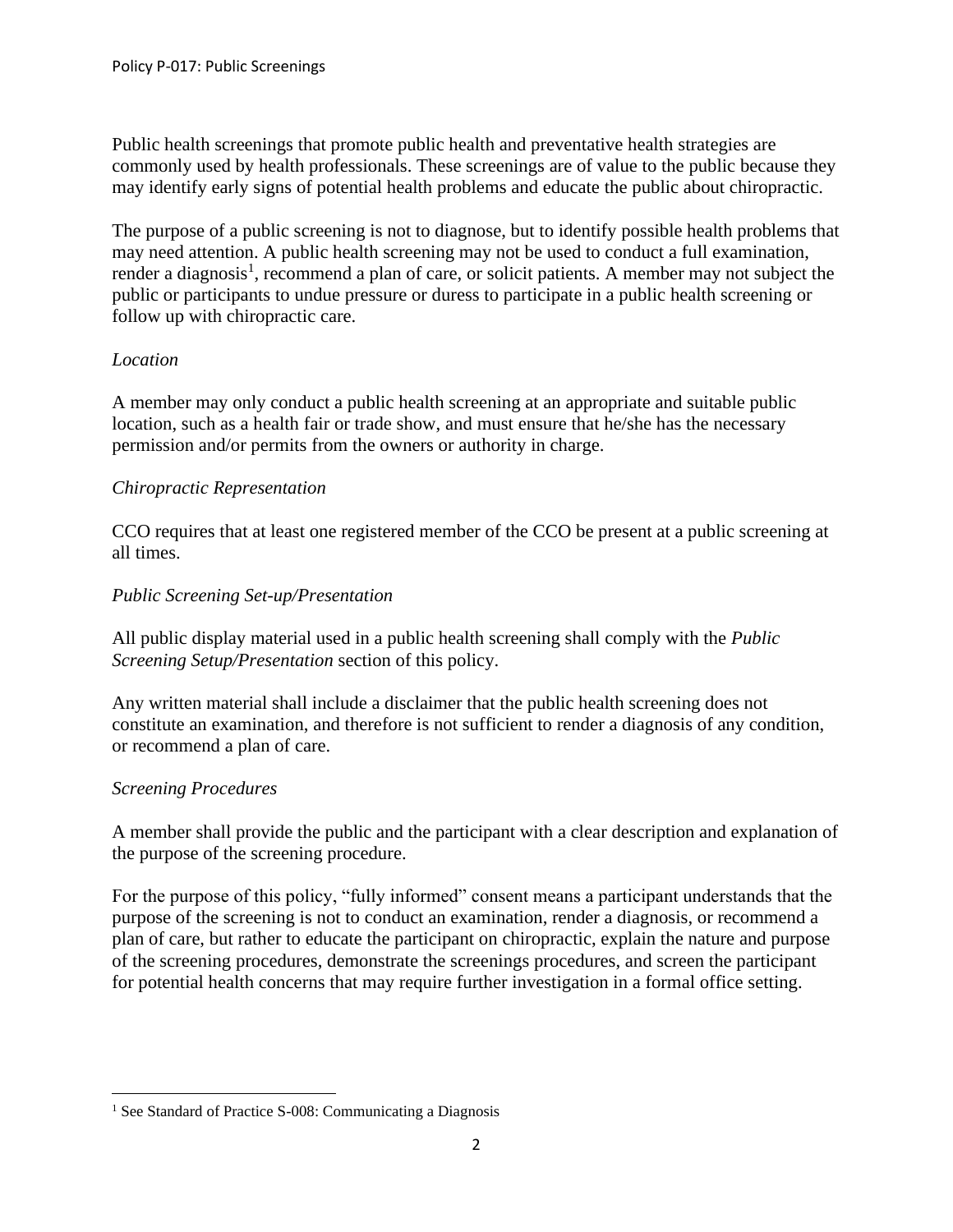Public health screenings that promote public health and preventative health strategies are commonly used by health professionals. These screenings are of value to the public because they may identify early signs of potential health problems and educate the public about chiropractic.

The purpose of a public screening is not to diagnose, but to identify possible health problems that may need attention. A public health screening may not be used to conduct a full examination, render a diagnosis<sup>1</sup>, recommend a plan of care, or solicit patients. A member may not subject the public or participants to undue pressure or duress to participate in a public health screening or follow up with chiropractic care.

# *Location*

A member may only conduct a public health screening at an appropriate and suitable public location, such as a health fair or trade show, and must ensure that he/she has the necessary permission and/or permits from the owners or authority in charge.

#### *Chiropractic Representation*

CCO requires that at least one registered member of the CCO be present at a public screening at all times.

#### *Public Screening Set-up/Presentation*

All public display material used in a public health screening shall comply with the *Public Screening Setup/Presentation* section of this policy.

Any written material shall include a disclaimer that the public health screening does not constitute an examination, and therefore is not sufficient to render a diagnosis of any condition, or recommend a plan of care.

#### *Screening Procedures*

A member shall provide the public and the participant with a clear description and explanation of the purpose of the screening procedure.

For the purpose of this policy, "fully informed" consent means a participant understands that the purpose of the screening is not to conduct an examination, render a diagnosis, or recommend a plan of care, but rather to educate the participant on chiropractic, explain the nature and purpose of the screening procedures, demonstrate the screenings procedures, and screen the participant for potential health concerns that may require further investigation in a formal office setting.

<sup>&</sup>lt;sup>1</sup> See Standard of Practice S-008: Communicating a Diagnosis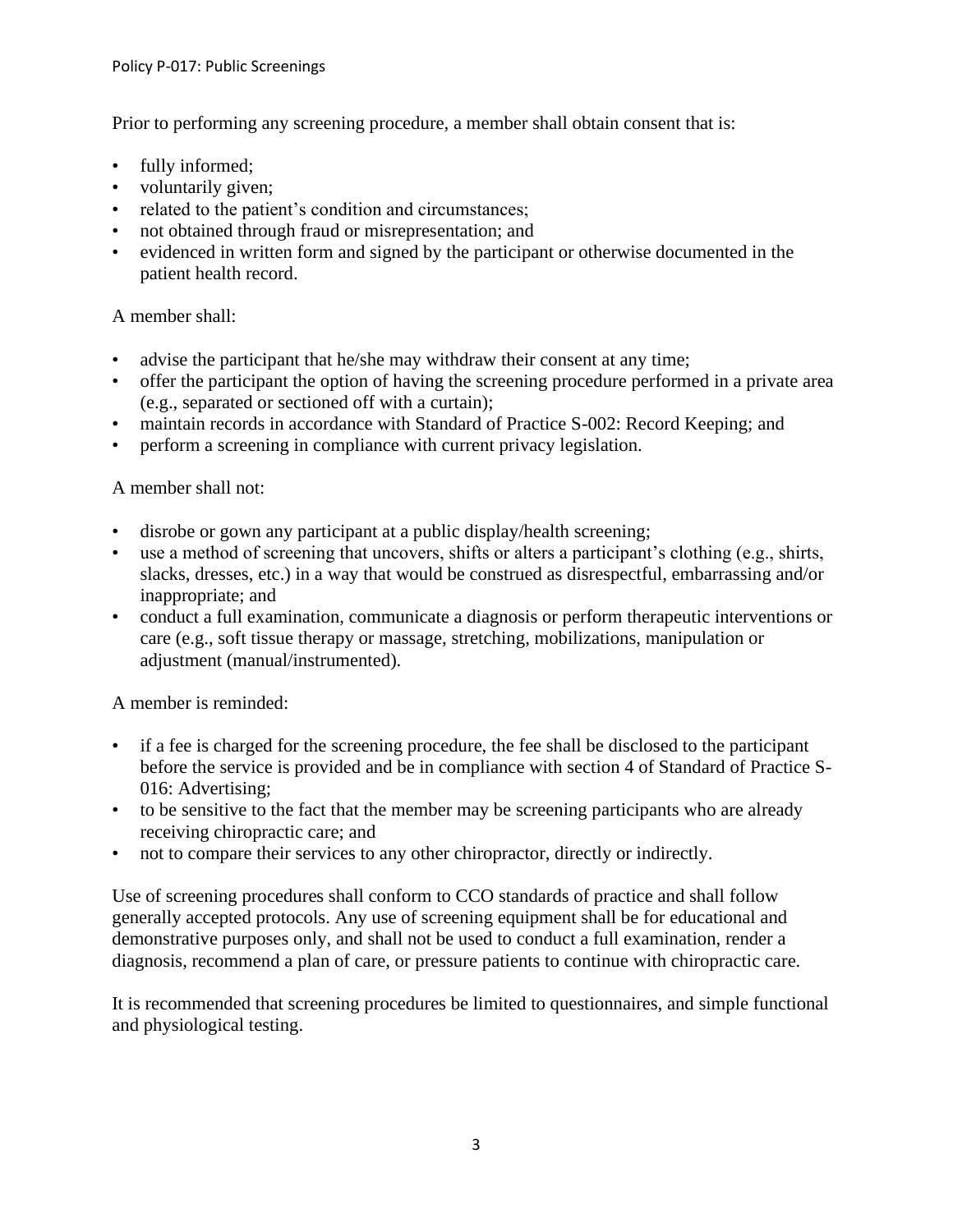Prior to performing any screening procedure, a member shall obtain consent that is:

- fully informed;
- voluntarily given;
- related to the patient's condition and circumstances;
- not obtained through fraud or misrepresentation; and
- evidenced in written form and signed by the participant or otherwise documented in the patient health record.

# A member shall:

- advise the participant that he/she may withdraw their consent at any time;
- offer the participant the option of having the screening procedure performed in a private area (e.g., separated or sectioned off with a curtain);
- maintain records in accordance with Standard of Practice S-002: Record Keeping; and
- perform a screening in compliance with current privacy legislation.

# A member shall not:

- disrobe or gown any participant at a public display/health screening;
- use a method of screening that uncovers, shifts or alters a participant's clothing (e.g., shirts, slacks, dresses, etc.) in a way that would be construed as disrespectful, embarrassing and/or inappropriate; and
- conduct a full examination, communicate a diagnosis or perform therapeutic interventions or care (e.g., soft tissue therapy or massage, stretching, mobilizations, manipulation or adjustment (manual/instrumented).

A member is reminded:

- if a fee is charged for the screening procedure, the fee shall be disclosed to the participant before the service is provided and be in compliance with section 4 of Standard of Practice S-016: Advertising;
- to be sensitive to the fact that the member may be screening participants who are already receiving chiropractic care; and
- not to compare their services to any other chiropractor, directly or indirectly.

Use of screening procedures shall conform to CCO standards of practice and shall follow generally accepted protocols. Any use of screening equipment shall be for educational and demonstrative purposes only, and shall not be used to conduct a full examination, render a diagnosis, recommend a plan of care, or pressure patients to continue with chiropractic care.

It is recommended that screening procedures be limited to questionnaires, and simple functional and physiological testing.